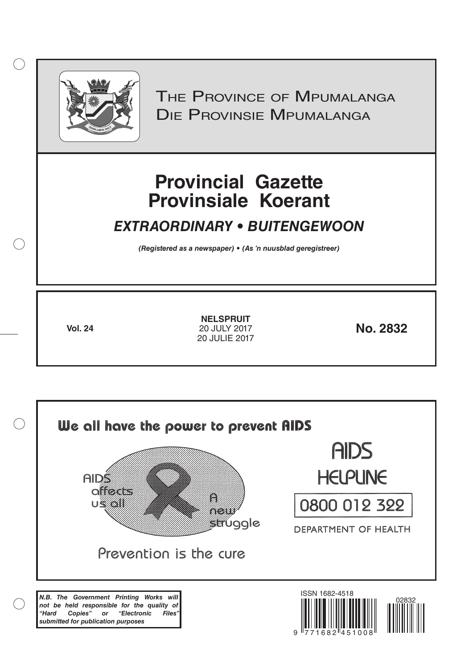

 $( )$ 

THE PROVINCE OF MPUMALANGA Die Provinsie Mpumalanga

# **Provincial Gazette Provinsiale Koerant**

# *EXTRAORDINARY • BUITENGEWOON*

*(Registered as a newspaper) • (As 'n nuusblad geregistreer)*

**Vol. 24 No. 2832** 20 JULY 2017 **NELSPRUIT** 20 JULIE 2017

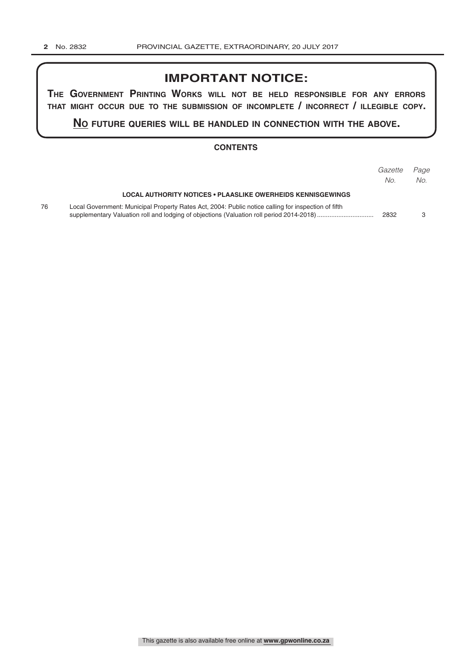# **IMPORTANT NOTICE:**

**The GovernmenT PrinTinG Works Will noT be held resPonsible for any errors ThaT miGhT occur due To The submission of incomPleTe / incorrecT / illeGible coPy.**

**no fuTure queries Will be handled in connecTion WiTh The above.**

#### **CONTENTS**

|    |                                                                                                     | Gazette<br>No. | Page<br>No. |
|----|-----------------------------------------------------------------------------------------------------|----------------|-------------|
|    | LOCAL AUTHORITY NOTICES • PLAASLIKE OWERHEIDS KENNISGEWINGS                                         |                |             |
| 76 | Local Government: Municipal Property Rates Act, 2004: Public notice calling for inspection of fifth | 2832           |             |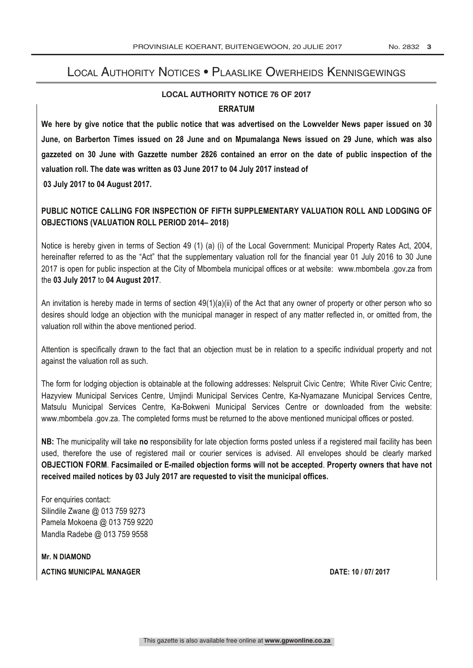#### LOCAL AUTHORITY NOTICES • PLAASLIKE OWERHEIDS KENNISGEWINGS LOCAL AUTHORITY NOTICES • PLAASLIKE OWERHEIDS KENNISGEWING Fax: +27 (0) 13 759-2070

## **LOCAL AUTHORITY NOTICE 76 OF 2017 ERRATUM**

**We here by give notice that the public notice that was advertised on the Lowvelder News paper issued on 30 June, on Barberton Times issued on 28 June and on Mpumalanga News issued on 29 June, which was also gazzeted on 30 June with Gazzette number 2826 contained an error on the date of public inspection of the valuation roll. The date was written as 03 June 2017 to 04 July 2017 instead of 03 July 2017 to 04 August 2017.**

### **PUBLIC NOTICE CALLING FOR INSPECTION OF FIFTH SUPPLEMENTARY VALUATION ROLL AND LODGING OF OBJECTIONS (VALUATION ROLL PERIOD 2014– 2018)**

Notice is hereby given in terms of Section 49 (1) (a) (i) of the Local Government: Municipal Property Rates Act, 2004, hereinafter referred to as the "Act" that the supplementary valuation roll for the financial year 01 July 2016 to 30 June 2017 is open for public inspection at the City of Mbombela municipal offices or at website: www.mbombela .gov.za from the **03 July 2017** to **04 August 2017**.

An invitation is hereby made in terms of section 49(1)(a)(ii) of the Act that any owner of property or other person who so desires should lodge an objection with the municipal manager in respect of any matter reflected in, or omitted from, the valuation roll within the above mentioned period.

Attention is specifically drawn to the fact that an objection must be in relation to a specific individual property and not against the valuation roll as such.

The form for lodging objection is obtainable at the following addresses: Nelspruit Civic Centre; White River Civic Centre; Hazyview Municipal Services Centre, Umjindi Municipal Services Centre, Ka-Nyamazane Municipal Services Centre, Matsulu Municipal Services Centre, Ka-Bokweni Municipal Services Centre or downloaded from the website: www.mbombela .gov.za. The completed forms must be returned to the above mentioned municipal offices or posted.

**NB:** The municipality will take **no** responsibility for late objection forms posted unless if a registered mail facility has been used, therefore the use of registered mail or courier services is advised. All envelopes should be clearly marked **OBJECTION FORM**. **Facsimailed or E-mailed objection forms will not be accepted**. **Property owners that have not received mailed notices by 03 July 2017 are requested to visit the municipal offices.**

For enquiries contact: Silindile Zwane @ 013 759 9273 Pamela Mokoena @ 013 759 9220 Mandla Radebe @ 013 759 9558

**Mr. N DIAMOND**

1 Nel Street (1981)<br>1981 - September 1982<br>1982 - September 1982

**ACTING MUNICIPAL MANAGER DATE: 10 / 07/ 2017**